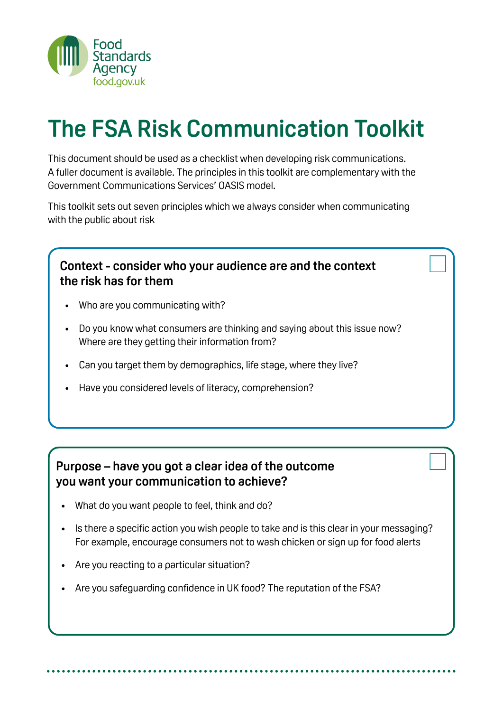

# **The FSA Risk Communication Toolkit**

This document should be used as a checklist when developing risk communications. A fuller document is available. The principles in this toolkit are complementary with the Government Communications Services' OASIS model.

This toolkit sets out seven principles which we always consider when communicating with the public about risk

#### **Context - consider who your audience are and the context the risk has for them**

- Who are you communicating with?
- Do you know what consumers are thinking and saying about this issue now? Where are they getting their information from?
- Can you target them by demographics, life stage, where they live?
- Have you considered levels of literacy, comprehension?

#### **Purpose – have you got a clear idea of the outcome you want your communication to achieve?**

- What do you want people to feel, think and do?
- Is there a specific action you wish people to take and is this clear in your messaging? For example, encourage consumers not to wash chicken or sign up for food alerts
- Are you reacting to a particular situation?
- Are you safeguarding confidence in UK food? The reputation of the FSA?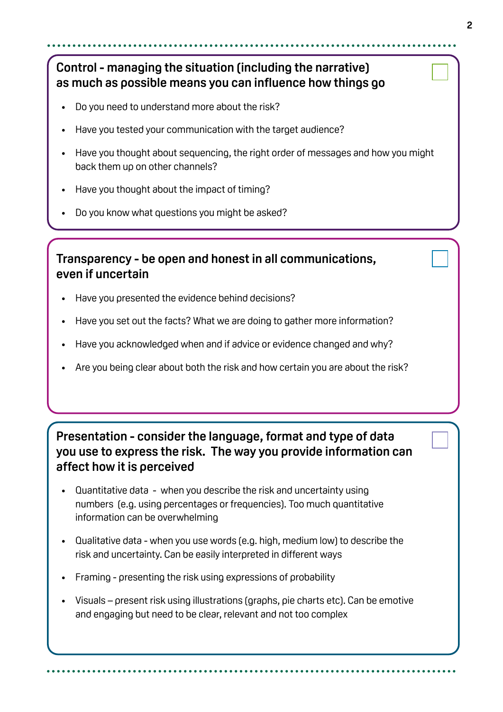## **Control - managing the situation (including the narrative) as much as possible means you can influence how things go**

- Do you need to understand more about the risk?
- Have you tested your communication with the target audience?
- Have you thought about sequencing, the right order of messages and how you might back them up on other channels?
- Have you thought about the impact of timing?
- Do you know what questions you might be asked?

#### **Transparency - be open and honest in all communications, even if uncertain**

- Have you presented the evidence behind decisions?
- Have you set out the facts? What we are doing to gather more information?
- Have you acknowledged when and if advice or evidence changed and why?
- Are you being clear about both the risk and how certain you are about the risk?

#### **Presentation - consider the language, format and type of data you use to express the risk. The way you provide information can affect how it is perceived**

- Quantitative data when you describe the risk and uncertainty using numbers (e.g. using percentages or frequencies). Too much quantitative information can be overwhelming
- Qualitative data when you use words (e.g. high, medium low) to describe the risk and uncertainty. Can be easily interpreted in different ways
- Framing presenting the risk using expressions of probability
- Visuals present risk using illustrations (graphs, pie charts etc). Can be emotive and engaging but need to be clear, relevant and not too complex